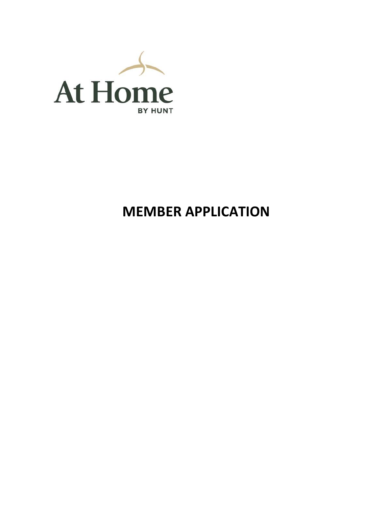

# **MEMBER APPLICATION**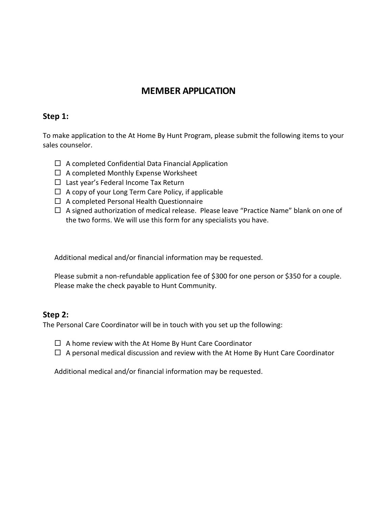## **MEMBER APPLICATION**

#### **Step 1:**

To make application to the At Home By Hunt Program, please submit the following items to your sales counselor.

- $\Box$  A completed Confidential Data Financial Application
- $\Box$  A completed Monthly Expense Worksheet
- $\Box$  Last year's Federal Income Tax Return
- $\Box$  A copy of your Long Term Care Policy, if applicable
- $\Box$  A completed Personal Health Questionnaire
- $\Box$  A signed authorization of medical release. Please leave "Practice Name" blank on one of the two forms. We will use this form for any specialists you have.

Additional medical and/or financial information may be requested.

Please submit a non-refundable application fee of \$300 for one person or \$350 for a couple. Please make the check payable to Hunt Community.

#### **Step 2:**

The Personal Care Coordinator will be in touch with you set up the following:

 $\Box$  A home review with the At Home By Hunt Care Coordinator

 $\Box$  A personal medical discussion and review with the At Home By Hunt Care Coordinator

Additional medical and/or financial information may be requested.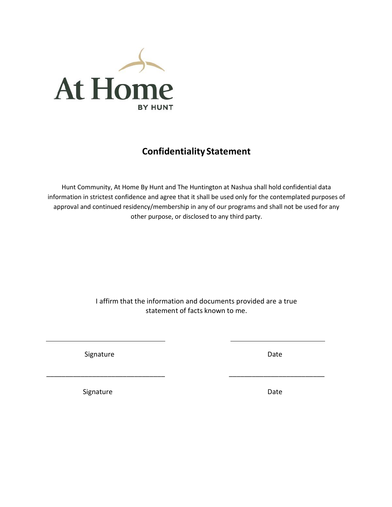

# **Confidentiality Statement**

Hunt Community, At Home By Hunt and The Huntington at Nashua shall hold confidential data information in strictest confidence and agree that it shall be used only for the contemplated purposes of approval and continued residency/membership in any of our programs and shall not be used for any other purpose, or disclosed to any third party.

> I affirm that the information and documents provided are a true statement of facts known to me.

 $\overline{\phantom{a}}$  , and the contract of the contract of the contract of the contract of the contract of the contract of the contract of the contract of the contract of the contract of the contract of the contract of the contrac

Signature Date Date Date

Signature Date Date Date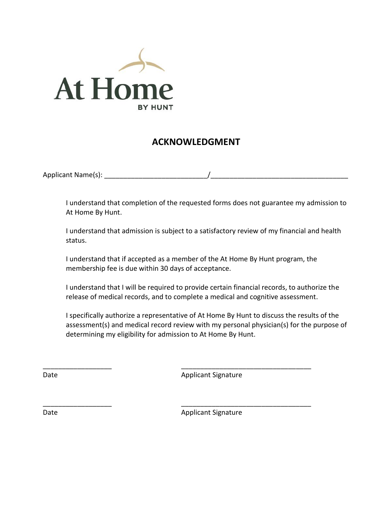

# **ACKNOWLEDGMENT**

Applicant Name(s): **Example 2** 

I understand that completion of the requested forms does not guarantee my admission to At Home By Hunt.

I understand that admission is subject to a satisfactory review of my financial and health status.

I understand that if accepted as a member of the At Home By Hunt program, the membership fee is due within 30 days of acceptance.

\_\_\_\_\_\_\_\_\_\_\_\_\_\_\_\_\_\_ \_\_\_\_\_\_\_\_\_\_\_\_\_\_\_\_\_\_\_\_\_\_\_\_\_\_\_\_\_\_\_\_\_\_

\_\_\_\_\_\_\_\_\_\_\_\_\_\_\_\_\_\_ \_\_\_\_\_\_\_\_\_\_\_\_\_\_\_\_\_\_\_\_\_\_\_\_\_\_\_\_\_\_\_\_\_\_

I understand that I will be required to provide certain financial records, to authorize the release of medical records, and to complete a medical and cognitive assessment.

I specifically authorize a representative of At Home By Hunt to discuss the results of the assessment(s) and medical record review with my personal physician(s) for the purpose of determining my eligibility for admission to At Home By Hunt.

Date **Applicant Signature** Applicant Signature

Date **Date** Applicant Signature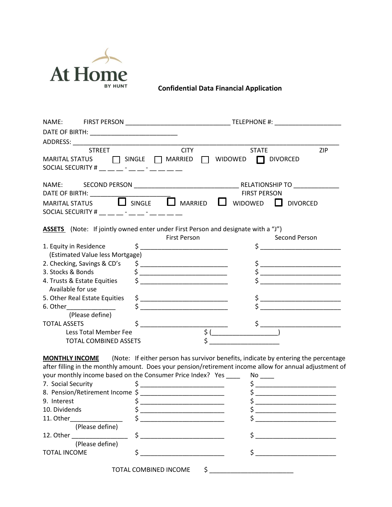

 **Confidential Data Financial Application**

| DATE OF BIRTH: _______________________________                                                                 |                                                                                                                                                                                                                                                                                                                                                                                                                                                                                                                                                                                                                                                                                                                                                                                                                                                                                                                                                                                                                                                                                                                                                                                                                                                                                                                                                                                                                                          |
|----------------------------------------------------------------------------------------------------------------|------------------------------------------------------------------------------------------------------------------------------------------------------------------------------------------------------------------------------------------------------------------------------------------------------------------------------------------------------------------------------------------------------------------------------------------------------------------------------------------------------------------------------------------------------------------------------------------------------------------------------------------------------------------------------------------------------------------------------------------------------------------------------------------------------------------------------------------------------------------------------------------------------------------------------------------------------------------------------------------------------------------------------------------------------------------------------------------------------------------------------------------------------------------------------------------------------------------------------------------------------------------------------------------------------------------------------------------------------------------------------------------------------------------------------------------|
|                                                                                                                |                                                                                                                                                                                                                                                                                                                                                                                                                                                                                                                                                                                                                                                                                                                                                                                                                                                                                                                                                                                                                                                                                                                                                                                                                                                                                                                                                                                                                                          |
| <b>STREET</b>                                                                                                  | <b>CITY</b><br>ZIP<br><b>STATE</b>                                                                                                                                                                                                                                                                                                                                                                                                                                                                                                                                                                                                                                                                                                                                                                                                                                                                                                                                                                                                                                                                                                                                                                                                                                                                                                                                                                                                       |
| MARITAL STATUS $\Box$ SINGLE $\Box$ MARRIED                                                                    | $\Box$ WIDOWED $\Box$<br><b>DIVORCED</b>                                                                                                                                                                                                                                                                                                                                                                                                                                                                                                                                                                                                                                                                                                                                                                                                                                                                                                                                                                                                                                                                                                                                                                                                                                                                                                                                                                                                 |
| SOCIAL SECURITY # Factor Activity Association Activity Activity Activity Activity Activity Activity Activity A |                                                                                                                                                                                                                                                                                                                                                                                                                                                                                                                                                                                                                                                                                                                                                                                                                                                                                                                                                                                                                                                                                                                                                                                                                                                                                                                                                                                                                                          |
|                                                                                                                |                                                                                                                                                                                                                                                                                                                                                                                                                                                                                                                                                                                                                                                                                                                                                                                                                                                                                                                                                                                                                                                                                                                                                                                                                                                                                                                                                                                                                                          |
|                                                                                                                | <b>FIRST PERSON</b>                                                                                                                                                                                                                                                                                                                                                                                                                                                                                                                                                                                                                                                                                                                                                                                                                                                                                                                                                                                                                                                                                                                                                                                                                                                                                                                                                                                                                      |
|                                                                                                                | WIDOWED U DIVORCED                                                                                                                                                                                                                                                                                                                                                                                                                                                                                                                                                                                                                                                                                                                                                                                                                                                                                                                                                                                                                                                                                                                                                                                                                                                                                                                                                                                                                       |
|                                                                                                                |                                                                                                                                                                                                                                                                                                                                                                                                                                                                                                                                                                                                                                                                                                                                                                                                                                                                                                                                                                                                                                                                                                                                                                                                                                                                                                                                                                                                                                          |
|                                                                                                                | ASSETS (Note: If jointly owned enter under First Person and designate with a "J")                                                                                                                                                                                                                                                                                                                                                                                                                                                                                                                                                                                                                                                                                                                                                                                                                                                                                                                                                                                                                                                                                                                                                                                                                                                                                                                                                        |
|                                                                                                                | <b>First Person</b><br>Second Person                                                                                                                                                                                                                                                                                                                                                                                                                                                                                                                                                                                                                                                                                                                                                                                                                                                                                                                                                                                                                                                                                                                                                                                                                                                                                                                                                                                                     |
| 1. Equity in Residence<br>(Estimated Value less Mortgage)                                                      | $\frac{1}{2}$ $\frac{1}{2}$ $\frac{1}{2}$ $\frac{1}{2}$ $\frac{1}{2}$ $\frac{1}{2}$ $\frac{1}{2}$ $\frac{1}{2}$ $\frac{1}{2}$ $\frac{1}{2}$ $\frac{1}{2}$ $\frac{1}{2}$ $\frac{1}{2}$ $\frac{1}{2}$ $\frac{1}{2}$ $\frac{1}{2}$ $\frac{1}{2}$ $\frac{1}{2}$ $\frac{1}{2}$ $\frac{1}{2}$ $\frac{1}{2}$ $\frac{1}{2}$                                                                                                                                                                                                                                                                                                                                                                                                                                                                                                                                                                                                                                                                                                                                                                                                                                                                                                                                                                                                                                                                                                                      |
| 2. Checking, Savings & CD's                                                                                    |                                                                                                                                                                                                                                                                                                                                                                                                                                                                                                                                                                                                                                                                                                                                                                                                                                                                                                                                                                                                                                                                                                                                                                                                                                                                                                                                                                                                                                          |
| 3. Stocks & Bonds                                                                                              | $\begin{picture}(20,10) \put(0,0){\line(1,0){10}} \put(15,0){\line(1,0){10}} \put(15,0){\line(1,0){10}} \put(15,0){\line(1,0){10}} \put(15,0){\line(1,0){10}} \put(15,0){\line(1,0){10}} \put(15,0){\line(1,0){10}} \put(15,0){\line(1,0){10}} \put(15,0){\line(1,0){10}} \put(15,0){\line(1,0){10}} \put(15,0){\line(1,0){10}} \put(15,0){\line(1$<br>$\begin{picture}(20,10) \put(0,0){\vector(1,0){100}} \put(15,0){\vector(1,0){100}} \put(15,0){\vector(1,0){100}} \put(15,0){\vector(1,0){100}} \put(15,0){\vector(1,0){100}} \put(15,0){\vector(1,0){100}} \put(15,0){\vector(1,0){100}} \put(15,0){\vector(1,0){100}} \put(15,0){\vector(1,0){100}} \put(15,0){\vector(1,0){100}} \put(15,0){\vector(1,0){100}} \$<br>$\begin{picture}(20,10) \put(0,0){\line(1,0){10}} \put(15,0){\line(1,0){10}} \put(15,0){\line(1,0){10}} \put(15,0){\line(1,0){10}} \put(15,0){\line(1,0){10}} \put(15,0){\line(1,0){10}} \put(15,0){\line(1,0){10}} \put(15,0){\line(1,0){10}} \put(15,0){\line(1,0){10}} \put(15,0){\line(1,0){10}} \put(15,0){\line(1,0){10}} \put(15,0){\line(1$<br>$\begin{picture}(20,10) \put(0,0){\line(1,0){10}} \put(15,0){\line(1,0){10}} \put(15,0){\line(1,0){10}} \put(15,0){\line(1,0){10}} \put(15,0){\line(1,0){10}} \put(15,0){\line(1,0){10}} \put(15,0){\line(1,0){10}} \put(15,0){\line(1,0){10}} \put(15,0){\line(1,0){10}} \put(15,0){\line(1,0){10}} \put(15,0){\line(1,0){10}} \put(15,0){\line(1$ |
| 4. Trusts & Estate Equities                                                                                    | $\frac{1}{2}$ $\frac{1}{2}$ $\frac{1}{2}$ $\frac{1}{2}$ $\frac{1}{2}$ $\frac{1}{2}$ $\frac{1}{2}$ $\frac{1}{2}$ $\frac{1}{2}$ $\frac{1}{2}$ $\frac{1}{2}$ $\frac{1}{2}$ $\frac{1}{2}$ $\frac{1}{2}$ $\frac{1}{2}$ $\frac{1}{2}$ $\frac{1}{2}$ $\frac{1}{2}$ $\frac{1}{2}$ $\frac{1}{2}$ $\frac{1}{2}$ $\frac{1}{2}$                                                                                                                                                                                                                                                                                                                                                                                                                                                                                                                                                                                                                                                                                                                                                                                                                                                                                                                                                                                                                                                                                                                      |
| Available for use                                                                                              |                                                                                                                                                                                                                                                                                                                                                                                                                                                                                                                                                                                                                                                                                                                                                                                                                                                                                                                                                                                                                                                                                                                                                                                                                                                                                                                                                                                                                                          |
| 5. Other Real Estate Equities                                                                                  | $\begin{picture}(20,10) \put(0,0){\line(1,0){10}} \put(15,0){\line(1,0){10}} \put(15,0){\line(1,0){10}} \put(15,0){\line(1,0){10}} \put(15,0){\line(1,0){10}} \put(15,0){\line(1,0){10}} \put(15,0){\line(1,0){10}} \put(15,0){\line(1,0){10}} \put(15,0){\line(1,0){10}} \put(15,0){\line(1,0){10}} \put(15,0){\line(1,0){10}} \put(15,0){\line(1$                                                                                                                                                                                                                                                                                                                                                                                                                                                                                                                                                                                                                                                                                                                                                                                                                                                                                                                                                                                                                                                                                      |
|                                                                                                                | the control of the control of the control of the                                                                                                                                                                                                                                                                                                                                                                                                                                                                                                                                                                                                                                                                                                                                                                                                                                                                                                                                                                                                                                                                                                                                                                                                                                                                                                                                                                                         |
| (Please define)                                                                                                |                                                                                                                                                                                                                                                                                                                                                                                                                                                                                                                                                                                                                                                                                                                                                                                                                                                                                                                                                                                                                                                                                                                                                                                                                                                                                                                                                                                                                                          |
| <b>TOTAL ASSETS</b>                                                                                            |                                                                                                                                                                                                                                                                                                                                                                                                                                                                                                                                                                                                                                                                                                                                                                                                                                                                                                                                                                                                                                                                                                                                                                                                                                                                                                                                                                                                                                          |
| <b>Less Total Member Fee</b>                                                                                   | $\zeta$ (                                                                                                                                                                                                                                                                                                                                                                                                                                                                                                                                                                                                                                                                                                                                                                                                                                                                                                                                                                                                                                                                                                                                                                                                                                                                                                                                                                                                                                |
| <b>TOTAL COMBINED ASSETS</b>                                                                                   |                                                                                                                                                                                                                                                                                                                                                                                                                                                                                                                                                                                                                                                                                                                                                                                                                                                                                                                                                                                                                                                                                                                                                                                                                                                                                                                                                                                                                                          |

**MONTHLY INCOME** (Note: If either person has survivor benefits, indicate by entering the percentage after filling in the monthly amount. Does your pension/retirement income allow for annual adjustment of vour monthly income based on the Consumer Price Index? Yes your monthly income based on the Consumer Price Index? Yes \_\_\_\_ No \_\_\_\_

|                                 | your monthly income based on the consumer Frice mues: Tres | IVU. |
|---------------------------------|------------------------------------------------------------|------|
| 7. Social Security              |                                                            |      |
| 8. Pension/Retirement Income \$ |                                                            |      |
| 9. Interest                     |                                                            |      |
| 10. Dividends                   |                                                            |      |
| 11. Other                       |                                                            |      |
| (Please define)                 |                                                            |      |
| 12. Other                       |                                                            |      |
| (Please define)                 |                                                            |      |
| <b>TOTAL INCOME</b>             |                                                            |      |
|                                 |                                                            |      |
|                                 | TOTAL COMBINED INCOME                                      |      |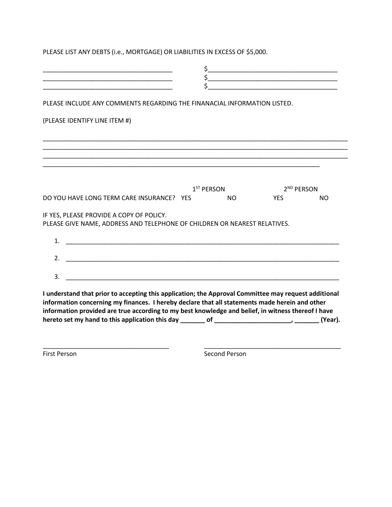PLEASE LIST ANY DEBTS (i.e., MORTGAGE) OR LIABILITIES IN EXCESS OF \$5,000.

|                                                                                                                                                                                                                                                                                                              |  | \$<br>Ś      |     | $\mathsf{S}$                                                                                                         |         |
|--------------------------------------------------------------------------------------------------------------------------------------------------------------------------------------------------------------------------------------------------------------------------------------------------------------|--|--------------|-----|----------------------------------------------------------------------------------------------------------------------|---------|
| <u> 1989 - Johann John Stein, markin am deutscher Stein und der Stein und der Stein und der Stein und der Stein u</u><br>PLEASE INCLUDE ANY COMMENTS REGARDING THE FINANACIAL INFORMATION LISTED.                                                                                                            |  |              |     |                                                                                                                      |         |
| (PLEASE IDENTIFY LINE ITEM #)                                                                                                                                                                                                                                                                                |  |              |     |                                                                                                                      |         |
|                                                                                                                                                                                                                                                                                                              |  |              |     |                                                                                                                      |         |
|                                                                                                                                                                                                                                                                                                              |  |              |     | <u> 1989 - Johann John Stone, markin film yn y brening yn y brening yn y brening yn y brening yn y brening y bre</u> |         |
| DO YOU HAVE LONG TERM CARE INSURANCE? YES                                                                                                                                                                                                                                                                    |  | $1ST$ PERSON | NO. | 2 <sup>ND</sup> PERSON<br><b>YES</b>                                                                                 | NO.     |
| IF YES, PLEASE PROVIDE A COPY OF POLICY.<br>PLEASE GIVE NAME, ADDRESS AND TELEPHONE OF CHILDREN OR NEAREST RELATIVES.                                                                                                                                                                                        |  |              |     |                                                                                                                      |         |
| 1.                                                                                                                                                                                                                                                                                                           |  |              |     |                                                                                                                      |         |
| $\overline{2}$ .                                                                                                                                                                                                                                                                                             |  |              |     |                                                                                                                      |         |
| 3.<br><u> 1980 - Johann Stein, marwolaethau (b. 1980)</u>                                                                                                                                                                                                                                                    |  |              |     |                                                                                                                      |         |
| I understand that prior to accepting this application; the Approval Committee may request additional<br>information concerning my finances. I hereby declare that all statements made herein and other<br>information provided are true according to my best knowledge and belief, in witness thereof I have |  |              |     |                                                                                                                      |         |
|                                                                                                                                                                                                                                                                                                              |  |              |     |                                                                                                                      | (Year). |

\_\_\_\_\_\_\_\_\_\_\_\_\_\_\_\_\_\_\_\_\_\_\_\_\_\_\_\_\_\_\_\_\_\_\_\_ \_\_\_\_\_\_\_\_\_\_\_\_\_\_\_\_\_\_\_\_\_\_\_\_\_\_\_\_\_\_\_\_\_\_\_\_\_\_\_

First Person Second Person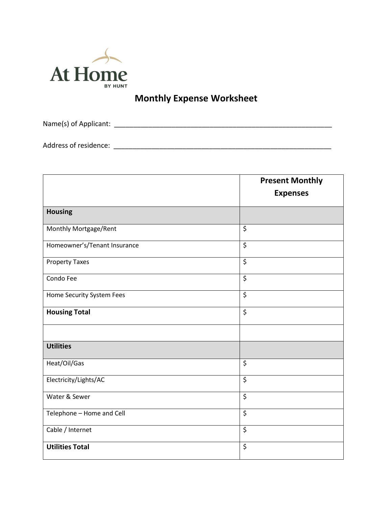

# **Monthly Expense Worksheet**

Name(s) of Applicant: \_\_\_\_\_\_\_\_\_\_\_\_\_\_\_\_\_\_\_\_\_\_\_\_\_\_\_\_\_\_\_\_\_\_\_\_\_\_\_\_\_\_\_\_\_\_\_\_\_\_\_\_\_\_\_\_\_

Address of residence: \_\_\_\_\_\_\_\_\_\_\_\_\_\_\_\_\_\_\_\_\_\_\_\_\_\_\_\_\_\_\_\_\_\_\_\_\_\_\_\_\_\_\_\_\_\_\_\_\_\_\_\_\_\_\_\_\_

|                              | <b>Present Monthly</b>   |  |
|------------------------------|--------------------------|--|
|                              | <b>Expenses</b>          |  |
| <b>Housing</b>               |                          |  |
| Monthly Mortgage/Rent        | $\overline{\xi}$         |  |
| Homeowner's/Tenant Insurance | $\overline{\mathcal{S}}$ |  |
| <b>Property Taxes</b>        | \$                       |  |
| Condo Fee                    | \$                       |  |
| Home Security System Fees    | \$                       |  |
| <b>Housing Total</b>         | \$                       |  |
|                              |                          |  |
| <b>Utilities</b>             |                          |  |
| Heat/Oil/Gas                 | \$                       |  |
| Electricity/Lights/AC        | $\overline{\xi}$         |  |
| Water & Sewer                | \$                       |  |
| Telephone - Home and Cell    | \$                       |  |
| Cable / Internet             | \$                       |  |
| <b>Utilities Total</b>       | \$                       |  |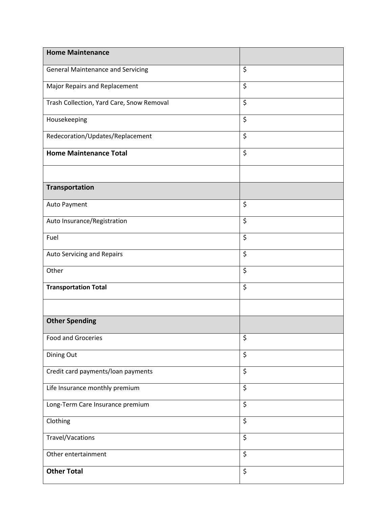| <b>Home Maintenance</b>                   |                  |
|-------------------------------------------|------------------|
| <b>General Maintenance and Servicing</b>  | \$               |
| Major Repairs and Replacement             | \$               |
| Trash Collection, Yard Care, Snow Removal | \$               |
| Housekeeping                              | \$               |
| Redecoration/Updates/Replacement          | \$               |
| <b>Home Maintenance Total</b>             | \$               |
|                                           |                  |
| <b>Transportation</b>                     |                  |
| Auto Payment                              | \$               |
| Auto Insurance/Registration               | \$               |
| Fuel                                      | \$               |
| Auto Servicing and Repairs                | \$               |
| Other                                     | \$               |
| <b>Transportation Total</b>               | \$               |
|                                           |                  |
| <b>Other Spending</b>                     |                  |
| <b>Food and Groceries</b>                 | \$               |
| Dining Out                                | \$               |
| Credit card payments/loan payments        | \$               |
| Life Insurance monthly premium            | \$               |
| Long-Term Care Insurance premium          | $\overline{\xi}$ |
| Clothing                                  | \$               |
| Travel/Vacations                          | \$               |
| Other entertainment                       | $\overline{\xi}$ |
| <b>Other Total</b>                        | \$               |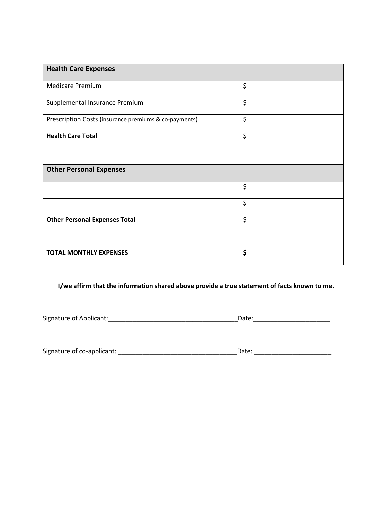| <b>Health Care Expenses</b>                           |    |
|-------------------------------------------------------|----|
| <b>Medicare Premium</b>                               | \$ |
| Supplemental Insurance Premium                        | \$ |
| Prescription Costs (insurance premiums & co-payments) | \$ |
| <b>Health Care Total</b>                              | \$ |
|                                                       |    |
| <b>Other Personal Expenses</b>                        |    |
|                                                       | \$ |
|                                                       | \$ |
| <b>Other Personal Expenses Total</b>                  | \$ |
|                                                       |    |
| <b>TOTAL MONTHLY EXPENSES</b>                         | \$ |

#### **I/we affirm that the information shared above provide a true statement of facts known to me.**

Signature of Applicant:\_\_\_\_\_\_\_\_\_\_\_\_\_\_\_\_\_\_\_\_\_\_\_\_\_\_\_\_\_\_\_\_\_\_\_\_\_Date:\_\_\_\_\_\_\_\_\_\_\_\_\_\_\_\_\_\_\_\_\_\_

| Signature of co-applicant: |  |  |
|----------------------------|--|--|
|----------------------------|--|--|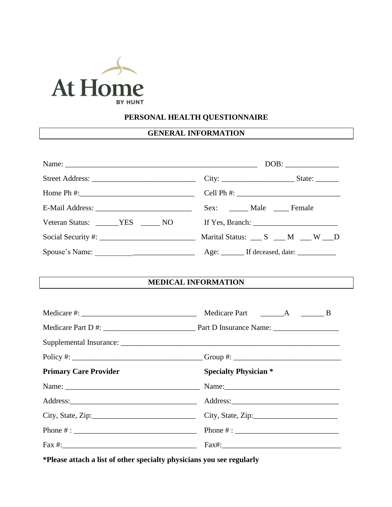

### **PERSONAL HEALTH QUESTIONNAIRE**

## **GENERAL INFORMATION**

| Home Ph #: $\frac{1}{2}$ = $\frac{1}{2}$ = $\frac{1}{2}$ = $\frac{1}{2}$ = $\frac{1}{2}$ = $\frac{1}{2}$ = $\frac{1}{2}$ = $\frac{1}{2}$ = $\frac{1}{2}$ = $\frac{1}{2}$ = $\frac{1}{2}$ = $\frac{1}{2}$ = $\frac{1}{2}$ = $\frac{1}{2}$ = $\frac{1}{2}$ = $\frac{1}{2}$ = $\frac{1}{2}$ = $\frac{1}{2$ | Cell Ph #: $\frac{1}{2}$ = $\frac{1}{2}$ = $\frac{1}{2}$ = $\frac{1}{2}$ = $\frac{1}{2}$ = $\frac{1}{2}$ = $\frac{1}{2}$ = $\frac{1}{2}$ = $\frac{1}{2}$ = $\frac{1}{2}$ = $\frac{1}{2}$ = $\frac{1}{2}$ = $\frac{1}{2}$ = $\frac{1}{2}$ = $\frac{1}{2}$ = $\frac{1}{2}$ = $\frac{1}{2}$ = $\frac{1}{$ |  |  |
|---------------------------------------------------------------------------------------------------------------------------------------------------------------------------------------------------------------------------------------------------------------------------------------------------------|--------------------------------------------------------------------------------------------------------------------------------------------------------------------------------------------------------------------------------------------------------------------------------------------------------|--|--|
|                                                                                                                                                                                                                                                                                                         | Sex: ______ Male _____ Female                                                                                                                                                                                                                                                                          |  |  |
| Veteran Status: VES NO                                                                                                                                                                                                                                                                                  |                                                                                                                                                                                                                                                                                                        |  |  |
|                                                                                                                                                                                                                                                                                                         | Marital Status: $S$ $M$ $W$ $D$                                                                                                                                                                                                                                                                        |  |  |
|                                                                                                                                                                                                                                                                                                         |                                                                                                                                                                                                                                                                                                        |  |  |
|                                                                                                                                                                                                                                                                                                         |                                                                                                                                                                                                                                                                                                        |  |  |
| <b>MEDICAL INFORMATION</b>                                                                                                                                                                                                                                                                              |                                                                                                                                                                                                                                                                                                        |  |  |
|                                                                                                                                                                                                                                                                                                         |                                                                                                                                                                                                                                                                                                        |  |  |
|                                                                                                                                                                                                                                                                                                         | <b>Medicare Part</b><br>$A \t B$                                                                                                                                                                                                                                                                       |  |  |
|                                                                                                                                                                                                                                                                                                         |                                                                                                                                                                                                                                                                                                        |  |  |
|                                                                                                                                                                                                                                                                                                         |                                                                                                                                                                                                                                                                                                        |  |  |
|                                                                                                                                                                                                                                                                                                         |                                                                                                                                                                                                                                                                                                        |  |  |
| <b>Primary Care Provider</b>                                                                                                                                                                                                                                                                            | <b>Specialty Physician *</b>                                                                                                                                                                                                                                                                           |  |  |
|                                                                                                                                                                                                                                                                                                         |                                                                                                                                                                                                                                                                                                        |  |  |
|                                                                                                                                                                                                                                                                                                         |                                                                                                                                                                                                                                                                                                        |  |  |
| City, State, Zip:                                                                                                                                                                                                                                                                                       | City, State, Zip:                                                                                                                                                                                                                                                                                      |  |  |
|                                                                                                                                                                                                                                                                                                         |                                                                                                                                                                                                                                                                                                        |  |  |
| Fax #: $\frac{1}{2}$ = $\frac{1}{2}$ = $\frac{1}{2}$ = $\frac{1}{2}$ = $\frac{1}{2}$ = $\frac{1}{2}$ = $\frac{1}{2}$ = $\frac{1}{2}$ = $\frac{1}{2}$ = $\frac{1}{2}$ = $\frac{1}{2}$ = $\frac{1}{2}$ = $\frac{1}{2}$ = $\frac{1}{2}$ = $\frac{1}{2}$ = $\frac{1}{2}$ = $\frac{1}{2}$ = $\frac{1}{2}$    | $Fax\#:$                                                                                                                                                                                                                                                                                               |  |  |

**\*Please attach a list of other specialty physicians you see regularly**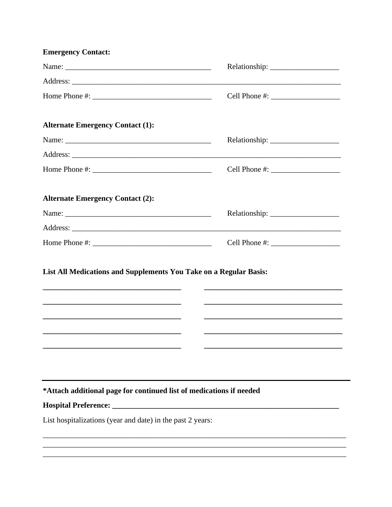| <u> 1989 - Johann Stoff, deutscher Stoff, der Stoff, der Stoff, der Stoff, der Stoff, der Stoff, der Stoff, der S</u><br><u> 1989 - Johann John Harry Harry Harry Harry Harry Harry Harry Harry Harry Harry Harry Harry Harry Harry Harry</u> |                                                                                                                                                                                                                                                                                                                                                                                                                                                                                                                              |
|-----------------------------------------------------------------------------------------------------------------------------------------------------------------------------------------------------------------------------------------------|------------------------------------------------------------------------------------------------------------------------------------------------------------------------------------------------------------------------------------------------------------------------------------------------------------------------------------------------------------------------------------------------------------------------------------------------------------------------------------------------------------------------------|
|                                                                                                                                                                                                                                               |                                                                                                                                                                                                                                                                                                                                                                                                                                                                                                                              |
|                                                                                                                                                                                                                                               |                                                                                                                                                                                                                                                                                                                                                                                                                                                                                                                              |
|                                                                                                                                                                                                                                               |                                                                                                                                                                                                                                                                                                                                                                                                                                                                                                                              |
|                                                                                                                                                                                                                                               |                                                                                                                                                                                                                                                                                                                                                                                                                                                                                                                              |
|                                                                                                                                                                                                                                               |                                                                                                                                                                                                                                                                                                                                                                                                                                                                                                                              |
|                                                                                                                                                                                                                                               | Cell Phone #: $\frac{1}{2}$ $\frac{1}{2}$ $\frac{1}{2}$ $\frac{1}{2}$ $\frac{1}{2}$ $\frac{1}{2}$ $\frac{1}{2}$ $\frac{1}{2}$ $\frac{1}{2}$ $\frac{1}{2}$ $\frac{1}{2}$ $\frac{1}{2}$ $\frac{1}{2}$ $\frac{1}{2}$ $\frac{1}{2}$ $\frac{1}{2}$ $\frac{1}{2}$ $\frac{1}{2}$ $\frac{1}{2}$ $\frac{1}{2}$ $\frac{1}{2$<br>List All Medications and Supplements You Take on a Regular Basis:<br>*Attach additional page for continued list of medications if needed<br>List hospitalizations (year and date) in the past 2 years: |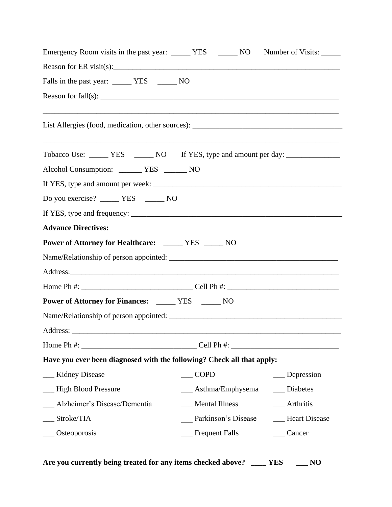| Falls in the past year: ________ YES ________ NO                                 |                     |                                                                     |  |
|----------------------------------------------------------------------------------|---------------------|---------------------------------------------------------------------|--|
|                                                                                  |                     |                                                                     |  |
|                                                                                  |                     | <u> 1989 - Andrea Stadt Britain, amerikansk politiker (d. 1989)</u> |  |
| Tobacco Use: ______ YES ______ NO If YES, type and amount per day: _____________ |                     |                                                                     |  |
| Alcohol Consumption: ______ YES ______ NO                                        |                     |                                                                     |  |
|                                                                                  |                     |                                                                     |  |
|                                                                                  |                     |                                                                     |  |
|                                                                                  |                     |                                                                     |  |
| <b>Advance Directives:</b>                                                       |                     |                                                                     |  |
| Power of Attorney for Healthcare: ______ YES _____ NO                            |                     |                                                                     |  |
|                                                                                  |                     |                                                                     |  |
|                                                                                  |                     |                                                                     |  |
|                                                                                  |                     |                                                                     |  |
| <b>Power of Attorney for Finances:</b> _____ YES _____ NO                        |                     |                                                                     |  |
|                                                                                  |                     |                                                                     |  |
|                                                                                  |                     |                                                                     |  |
|                                                                                  |                     |                                                                     |  |
| Have you ever been diagnosed with the following? Check all that apply:           |                     |                                                                     |  |
| __ Kidney Disease                                                                | <b>COPD</b>         | _Depression                                                         |  |
| __ High Blood Pressure                                                           | Asthma/Emphysema    | Diabetes                                                            |  |
| Alzheimer's Disease/Dementia                                                     | __ Mental Illness   | Arthritis                                                           |  |
| $_$ Stroke/TIA                                                                   | Parkinson's Disease | <b>Heart Disease</b>                                                |  |
| Osteoporosis                                                                     | __ Frequent Falls   | Cancer                                                              |  |

**Are you currently being treated for any items checked above? \_\_\_\_ YES \_\_\_ NO**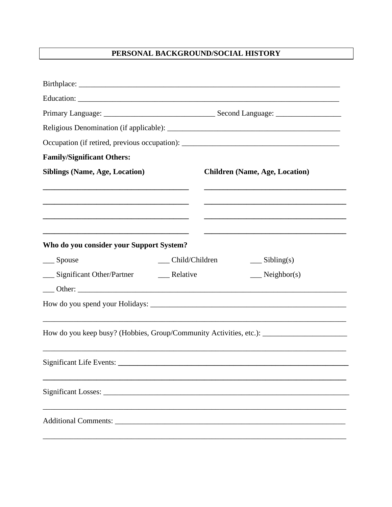## PERSONAL BACKGROUND/SOCIAL HISTORY

| <b>Family/Significant Others:</b>                                                                    |                                       |
|------------------------------------------------------------------------------------------------------|---------------------------------------|
| <b>Siblings (Name, Age, Location)</b>                                                                | <b>Children (Name, Age, Location)</b> |
|                                                                                                      |                                       |
| Who do you consider your Support System?                                                             |                                       |
| $\_\_$ Spouse<br>__ Child/Children                                                                   | $\equiv$ Sibling(s)                   |
| __ Significant Other/Partner _______ Relative                                                        | $N$ eighbor(s)                        |
|                                                                                                      |                                       |
| How do you keep busy? (Hobbies, Group/Community Activities, etc.): _________________________________ |                                       |
|                                                                                                      |                                       |
|                                                                                                      |                                       |
|                                                                                                      |                                       |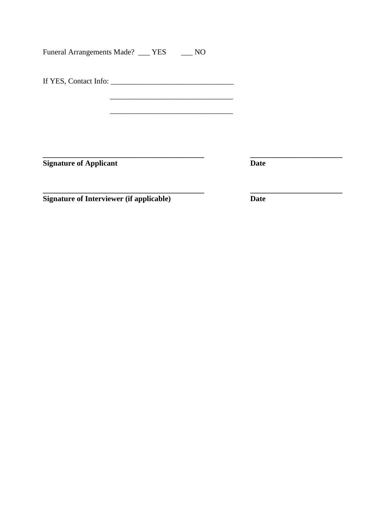Funeral Arrangements Made? \_\_\_ YES \_\_\_ NO

If YES, Contact Info: \_\_\_\_\_\_\_\_\_\_\_\_\_\_\_\_\_\_\_\_\_\_\_\_\_\_\_\_\_\_\_\_

**Signature of Applicant** 

**\_\_\_\_\_\_\_\_\_\_\_\_\_\_\_\_\_\_\_\_\_\_\_\_\_\_\_\_\_\_\_\_\_\_\_\_\_\_\_\_\_\_ \_\_\_\_\_\_\_\_\_\_\_\_\_\_\_\_\_\_\_\_\_\_\_\_**

**\_\_\_\_\_\_\_\_\_\_\_\_\_\_\_\_\_\_\_\_\_\_\_\_\_\_\_\_\_\_\_\_\_\_\_\_\_\_\_\_\_\_ \_\_\_\_\_\_\_\_\_\_\_\_\_\_\_\_\_\_\_\_\_\_\_\_ Signature of Interviewer (if applicable) Date**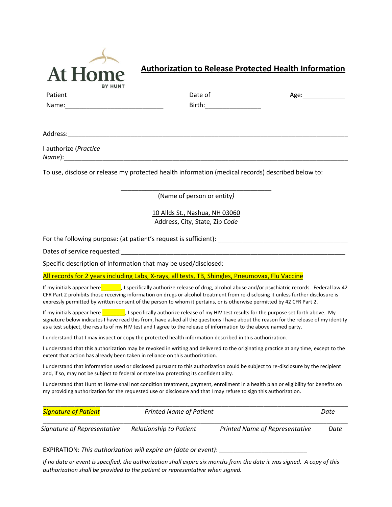

#### **Authorization to Release Protected Health Information**

|         | <b>BY HUNI</b> |         |      |
|---------|----------------|---------|------|
| Patient |                | Date of | Age: |
| Name:   |                | Birth:  |      |
|         |                |         |      |

Address:\_\_\_\_\_\_\_\_\_\_\_\_\_\_\_\_\_\_\_\_\_\_\_\_\_\_\_\_\_\_\_\_\_\_\_\_\_\_\_\_\_\_\_\_\_\_\_\_\_\_\_\_\_\_\_\_\_\_\_\_\_\_\_\_\_\_\_\_\_\_\_\_\_\_\_\_\_\_\_\_

I authorize (*Practice Name*):\_\_\_\_\_\_\_\_\_\_\_\_\_\_\_\_\_\_\_\_\_\_\_\_\_\_\_\_\_\_\_\_\_\_\_\_\_\_\_\_\_\_\_\_\_\_\_\_\_\_\_\_\_\_\_\_\_\_\_\_\_\_\_\_\_\_\_\_\_\_\_\_\_\_\_\_\_\_\_\_\_

To use, disclose or release my protected health information (medical records) described below to:

\_\_\_\_\_\_\_\_\_\_\_\_\_\_\_\_\_\_\_\_\_\_\_\_\_\_\_\_\_\_\_\_\_\_\_\_\_\_\_\_\_\_\_ (Name of person or entity*)*

> 10 Allds St., Nashua, NH 03060 Address, City, State, Zip *Code*

For the following purpose: (at patient's request is sufficient): \_\_\_\_\_\_\_\_\_\_\_\_\_\_\_\_\_\_\_\_\_\_\_\_\_\_\_\_\_\_\_\_\_\_\_\_\_

Dates of service requested:

Specific description of information that may be used/disclosed:

All records for 2 years including Labs, X-rays, all tests, TB, Shingles, Pneumovax, Flu Vaccine

If my initials appear here\_\_\_\_\_\_\_, I specifically authorize release of drug, alcohol abuse and/or psychiatric records. Federal law 42 CFR Part 2 prohibits those receiving information on drugs or alcohol treatment from re-disclosing it unless further disclosure is expressly permitted by written consent of the person to whom it pertains, or is otherwise permitted by 42 CFR Part 2.

If my initials appear here  $\blacksquare$ , I specifically authorize release of my HIV test results for the purpose set forth above. My signature below indicates I have read this from, have asked all the questions I have about the reason for the release of my identity as a test subject, the results of my HIV test and I agree to the release of information to the above named party.

I understand that I may inspect or copy the protected health information described in this authorization.

I understand that this authorization may be revoked in writing and delivered to the originating practice at any time, except to the extent that action has already been taken in reliance on this authorization.

I understand that information used or disclosed pursuant to this authorization could be subject to re-disclosure by the recipient and, if so, may not be subject to federal or state law protecting its confidentiality.

I understand that Hunt at Home shall not condition treatment, payment, enrollment in a health plan or eligibility for benefits on my providing authorization for the requested use or disclosure and that I may refuse to sign this authorization.

| <b>Signature of Patient</b> | <b>Printed Name of Patient</b> |                                       | Date |
|-----------------------------|--------------------------------|---------------------------------------|------|
| Signature of Representative | Relationship to Patient        | <b>Printed Name of Representative</b> | Date |

EXPIRATION: *This authorization will expire on (date or event)*: \_\_\_\_\_\_\_\_\_\_\_\_\_\_\_\_\_\_\_\_\_\_\_\_\_

*If no date or event is specified, the authorization shall expire six months from the date it was signed. A copy of this authorization shall be provided to the patient or representative when signed.*